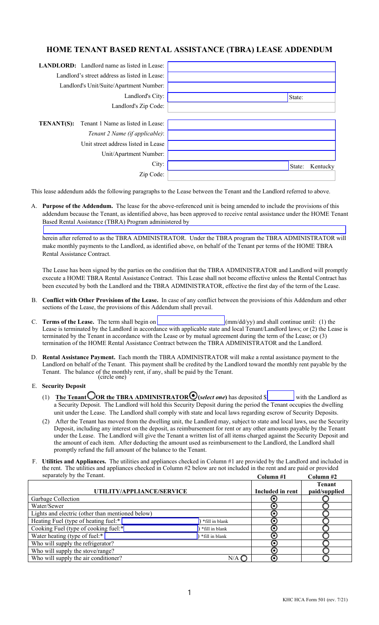## **HOME TENANT BASED RENTAL ASSISTANCE (TBRA) LEASE ADDENDUM**

State: State: Kentucky **LANDLORD:** Landlord name as listed in Lease: Landlord's street address as listed in Lease: Landlord's Unit/Suite/Apartment Number: Landlord's City: Landlord's Zip Code: **TENANT(S):** Tenant 1 Name as listed in Lease: *Tenant 2 Name (if applicable)*: Unit street address listed in Lease Unit/Apartment Number: City: Zip Code:

This lease addendum adds the following paragraphs to the Lease between the Tenant and the Landlord referred to above.

A. **Purpose of the Addendum.** The lease for the above-referenced unit is being amended to include the provisions of this addendum because the Tenant, as identified above, has been approved to receive rental assistance under the HOME Tenant Based Rental Assistance (TBRA) Program administered by

herein after referred to as the TBRA ADMINISTRATOR. Under the TBRA program the TBRA ADMINISTRATOR will make monthly payments to the Landlord, as identified above, on behalf of the Tenant per terms of the HOME TBRA Rental Assistance Contract.

The Lease has been signed by the parties on the condition that the TBRA ADMINISTRATOR and Landlord will promptly execute a HOME TBRA Rental Assistance Contract. This Lease shall not become effective unless the Rental Contract has been executed by both the Landlord and the TBRA ADMINISTRATOR, effective the first day of the term of the Lease.

- B. **Conflict with Other Provisions of the Lease.** In case of any conflict between the provisions of this Addendum and other sections of the Lease, the provisions of this Addendum shall prevail.
- C. **Terms of the Lease.** The term shall begin on **Example 20** (mm/dd/yy) and shall continue until: (1) the Lease is terminated by the Landlord in accordance with applicable state and local Tenant/Landlord laws; or (2) the Lease is terminated by the Tenant in accordance with the Lease or by mutual agreement during the term of the Lease; or (3) termination of the HOME Rental Assistance Contract between the TBRA ADMINISTRATOR and the Landlord.
- D. **Rental Assistance Payment.** Each month the TBRA ADMINISTRATOR will make a rental assistance payment to the Landlord on behalf of the Tenant. This payment shall be credited by the Landlord toward the monthly rent payable by the Tenant. The balance of the monthly rent, if any, shall be paid by the Tenant. (circle one)
- E. **Security Deposit**
	- (1) **The Tenant OOR the TBRA ADMINISTRATOR<sup>O</sup>** (select one) has deposited  $\frac{1}{s}$  with the Landlord as a Security Deposit. The Landlord will hold this Security Deposit during the period the Tenant occupies the dwelling unit under the Lease. The Landlord shall comply with state and local laws regarding escrow of Security Deposits.
	- (2) After the Tenant has moved from the dwelling unit, the Landlord may, subject to state and local laws, use the Security Deposit, including any interest on the deposit, as reimbursement for rent or any other amounts payable by the Tenant under the Lease. The Landlord will give the Tenant a written list of all items charged against the Security Deposit and the amount of each item. After deducting the amount used as reimbursement to the Landlord, the Landlord shall promptly refund the full amount of the balance to the Tenant.
- F. **Utilities and Appliances.** The utilities and appliances checked in Column #1 are provided by the Landlord and included in the rent. The utilities and appliances checked in Column #2 below are not included in the rent and are paid or provided separately by the Tenant. **Column #2 Column #2 Column #2 Column #2**

|                                                  |                | улишни пл        | $\sim$ viuiiii #        |
|--------------------------------------------------|----------------|------------------|-------------------------|
| UTILITY/APPLIANCE/SERVICE                        |                | Included in rent | Tenant<br>paid/supplied |
|                                                  |                |                  |                         |
| Garbage Collection                               |                | ⊙                |                         |
| Water/Sewer                                      |                | C                |                         |
| Lights and electric (other than mentioned below) |                | ∩                |                         |
| Heating Fuel (type of heating fuel:*             | *fill in blank | ⊙                |                         |
| Cooking Fuel (type of cooking fuel:*             | *fill in blank | ⋒                |                         |
| Water heating (type of fuel: $\frac{1}{2}$ )     | *fill in blank | ⊙                |                         |
| Who will supply the refrigerator?                |                | ∩                |                         |
| Who will supply the stove/range?                 |                | ∩                |                         |
| Who will supply the air conditioner?             | N/A            | $\bm{\odot}$     |                         |